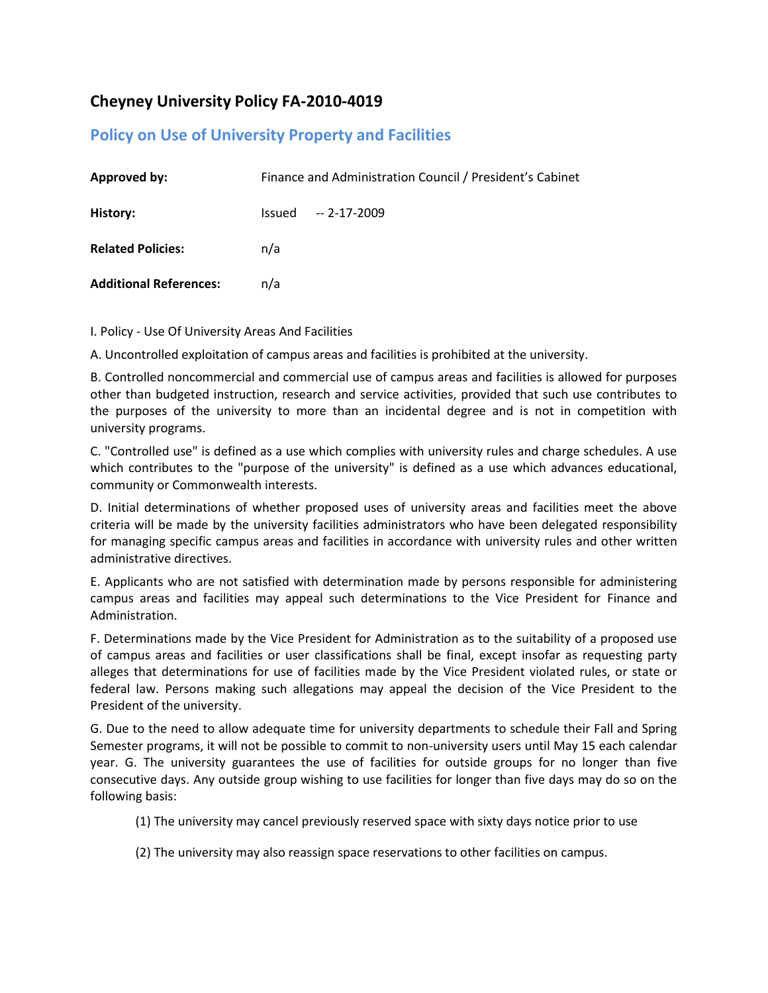# **Cheyney University Policy FA-2010-4019**

# **Policy on Use of University Property and Facilities**

| <b>Approved by:</b>           | Finance and Administration Council / President's Cabinet |              |
|-------------------------------|----------------------------------------------------------|--------------|
| History:                      | Issued                                                   | -- 2-17-2009 |
| <b>Related Policies:</b>      | n/a                                                      |              |
| <b>Additional References:</b> | n/a                                                      |              |

I. Policy - Use Of University Areas And Facilities

A. Uncontrolled exploitation of campus areas and facilities is prohibited at the university.

B. Controlled noncommercial and commercial use of campus areas and facilities is allowed for purposes other than budgeted instruction, research and service activities, provided that such use contributes to the purposes of the university to more than an incidental degree and is not in competition with university programs.

C. "Controlled use" is defined as a use which complies with university rules and charge schedules. A use which contributes to the "purpose of the university" is defined as a use which advances educational, community or Commonwealth interests.

D. Initial determinations of whether proposed uses of university areas and facilities meet the above criteria will be made by the university facilities administrators who have been delegated responsibility for managing specific campus areas and facilities in accordance with university rules and other written administrative directives.

E. Applicants who are not satisfied with determination made by persons responsible for administering campus areas and facilities may appeal such determinations to the Vice President for Finance and Administration.

F. Determinations made by the Vice President for Administration as to the suitability of a proposed use of campus areas and facilities or user classifications shall be final, except insofar as requesting party alleges that determinations for use of facilities made by the Vice President violated rules, or state or federal law. Persons making such allegations may appeal the decision of the Vice President to the President of the university.

G. Due to the need to allow adequate time for university departments to schedule their Fall and Spring Semester programs, it will not be possible to commit to non-university users until May 15 each calendar year. G. The university guarantees the use of facilities for outside groups for no longer than five consecutive days. Any outside group wishing to use facilities for longer than five days may do so on the following basis:

(1) The university may cancel previously reserved space with sixty days notice prior to use

(2) The university may also reassign space reservations to other facilities on campus.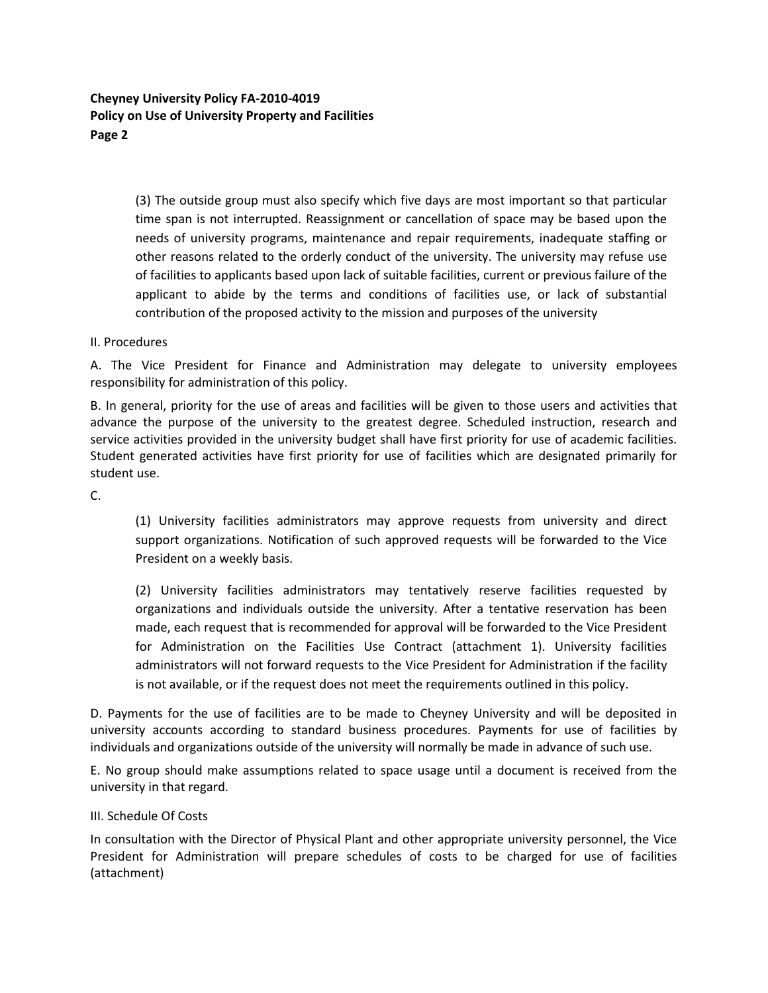**Cheyney University Policy FA-2010-4019 Policy on Use of University Property and Facilities Page 2**

> (3) The outside group must also specify which five days are most important so that particular time span is not interrupted. Reassignment or cancellation of space may be based upon the needs of university programs, maintenance and repair requirements, inadequate staffing or other reasons related to the orderly conduct of the university. The university may refuse use of facilities to applicants based upon lack of suitable facilities, current or previous failure of the applicant to abide by the terms and conditions of facilities use, or lack of substantial contribution of the proposed activity to the mission and purposes of the university

#### II. Procedures

A. The Vice President for Finance and Administration may delegate to university employees responsibility for administration of this policy.

B. In general, priority for the use of areas and facilities will be given to those users and activities that advance the purpose of the university to the greatest degree. Scheduled instruction, research and service activities provided in the university budget shall have first priority for use of academic facilities. Student generated activities have first priority for use of facilities which are designated primarily for student use.

C.

(1) University facilities administrators may approve requests from university and direct support organizations. Notification of such approved requests will be forwarded to the Vice President on a weekly basis.

(2) University facilities administrators may tentatively reserve facilities requested by organizations and individuals outside the university. After a tentative reservation has been made, each request that is recommended for approval will be forwarded to the Vice President for Administration on the Facilities Use Contract (attachment 1). University facilities administrators will not forward requests to the Vice President for Administration if the facility is not available, or if the request does not meet the requirements outlined in this policy.

D. Payments for the use of facilities are to be made to Cheyney University and will be deposited in university accounts according to standard business procedures. Payments for use of facilities by individuals and organizations outside of the university will normally be made in advance of such use.

E. No group should make assumptions related to space usage until a document is received from the university in that regard.

### III. Schedule Of Costs

In consultation with the Director of Physical Plant and other appropriate university personnel, the Vice President for Administration will prepare schedules of costs to be charged for use of facilities (attachment)